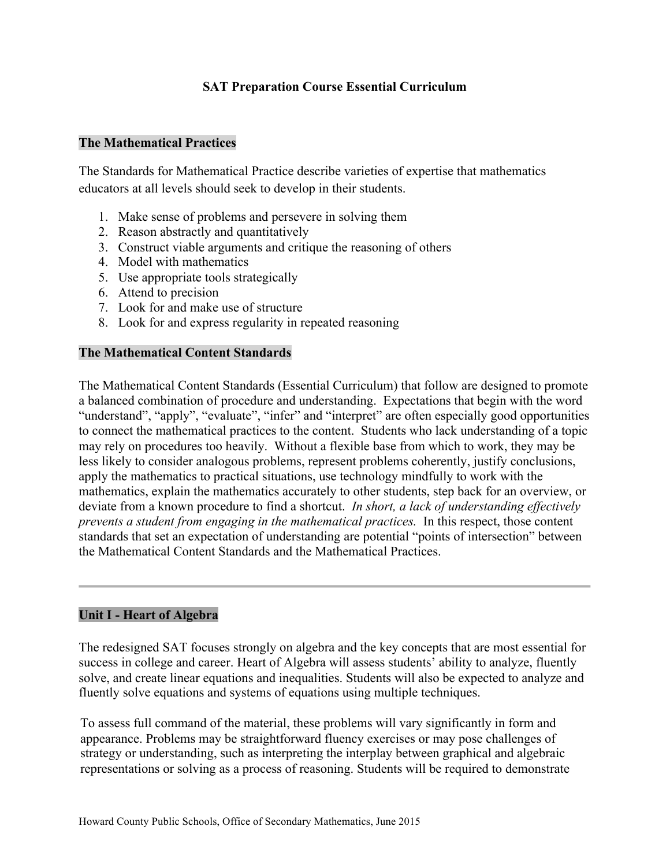# **SAT Preparation Course Essential Curriculum**

#### **The Mathematical Practices**

The Standards for Mathematical Practice describe varieties of expertise that mathematics educators at all levels should seek to develop in their students.

- 1. Make sense of problems and persevere in solving them
- 2. Reason abstractly and quantitatively
- 3. Construct viable arguments and critique the reasoning of others
- 4. Model with mathematics
- 5. Use appropriate tools strategically
- 6. Attend to precision
- 7. Look for and make use of structure
- 8. Look for and express regularity in repeated reasoning

#### **The Mathematical Content Standards**

The Mathematical Content Standards (Essential Curriculum) that follow are designed to promote a balanced combination of procedure and understanding. Expectations that begin with the word "understand", "apply", "evaluate", "infer" and "interpret" are often especially good opportunities to connect the mathematical practices to the content. Students who lack understanding of a topic may rely on procedures too heavily. Without a flexible base from which to work, they may be less likely to consider analogous problems, represent problems coherently, justify conclusions, apply the mathematics to practical situations, use technology mindfully to work with the mathematics, explain the mathematics accurately to other students, step back for an overview, or deviate from a known procedure to find a shortcut. *In short, a lack of understanding effectively prevents a student from engaging in the mathematical practices.* In this respect, those content standards that set an expectation of understanding are potential "points of intersection" between the Mathematical Content Standards and the Mathematical Practices.

#### **Unit I - Heart of Algebra**

The redesigned SAT focuses strongly on algebra and the key concepts that are most essential for success in college and career. Heart of Algebra will assess students' ability to analyze, fluently solve, and create linear equations and inequalities. Students will also be expected to analyze and fluently solve equations and systems of equations using multiple techniques.

To assess full command of the material, these problems will vary significantly in form and appearance. Problems may be straightforward fluency exercises or may pose challenges of strategy or understanding, such as interpreting the interplay between graphical and algebraic representations or solving as a process of reasoning. Students will be required to demonstrate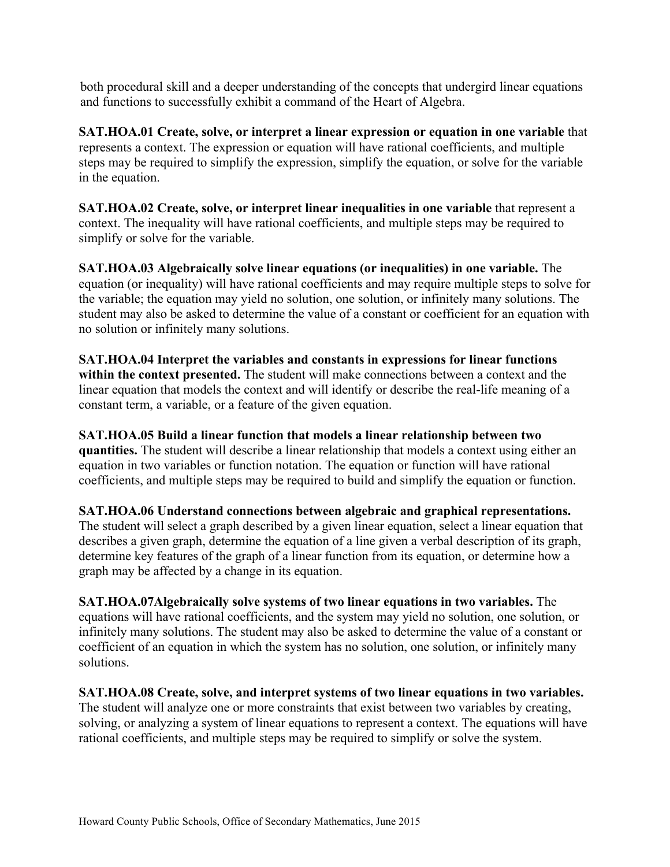both procedural skill and a deeper understanding of the concepts that undergird linear equations and functions to successfully exhibit a command of the Heart of Algebra.

**SAT.HOA.01 Create, solve, or interpret a linear expression or equation in one variable** that represents a context. The expression or equation will have rational coefficients, and multiple steps may be required to simplify the expression, simplify the equation, or solve for the variable in the equation.

**SAT.HOA.02 Create, solve, or interpret linear inequalities in one variable** that represent a context. The inequality will have rational coefficients, and multiple steps may be required to simplify or solve for the variable.

**SAT.HOA.03 Algebraically solve linear equations (or inequalities) in one variable.** The equation (or inequality) will have rational coefficients and may require multiple steps to solve for the variable; the equation may yield no solution, one solution, or infinitely many solutions. The student may also be asked to determine the value of a constant or coefficient for an equation with no solution or infinitely many solutions.

**SAT.HOA.04 Interpret the variables and constants in expressions for linear functions within the context presented.** The student will make connections between a context and the linear equation that models the context and will identify or describe the real-life meaning of a constant term, a variable, or a feature of the given equation.

**SAT.HOA.05 Build a linear function that models a linear relationship between two quantities.** The student will describe a linear relationship that models a context using either an equation in two variables or function notation. The equation or function will have rational coefficients, and multiple steps may be required to build and simplify the equation or function.

**SAT.HOA.06 Understand connections between algebraic and graphical representations.** The student will select a graph described by a given linear equation, select a linear equation that describes a given graph, determine the equation of a line given a verbal description of its graph, determine key features of the graph of a linear function from its equation, or determine how a graph may be affected by a change in its equation.

**SAT.HOA.07Algebraically solve systems of two linear equations in two variables.** The equations will have rational coefficients, and the system may yield no solution, one solution, or infinitely many solutions. The student may also be asked to determine the value of a constant or coefficient of an equation in which the system has no solution, one solution, or infinitely many solutions.

**SAT.HOA.08 Create, solve, and interpret systems of two linear equations in two variables.** The student will analyze one or more constraints that exist between two variables by creating, solving, or analyzing a system of linear equations to represent a context. The equations will have rational coefficients, and multiple steps may be required to simplify or solve the system.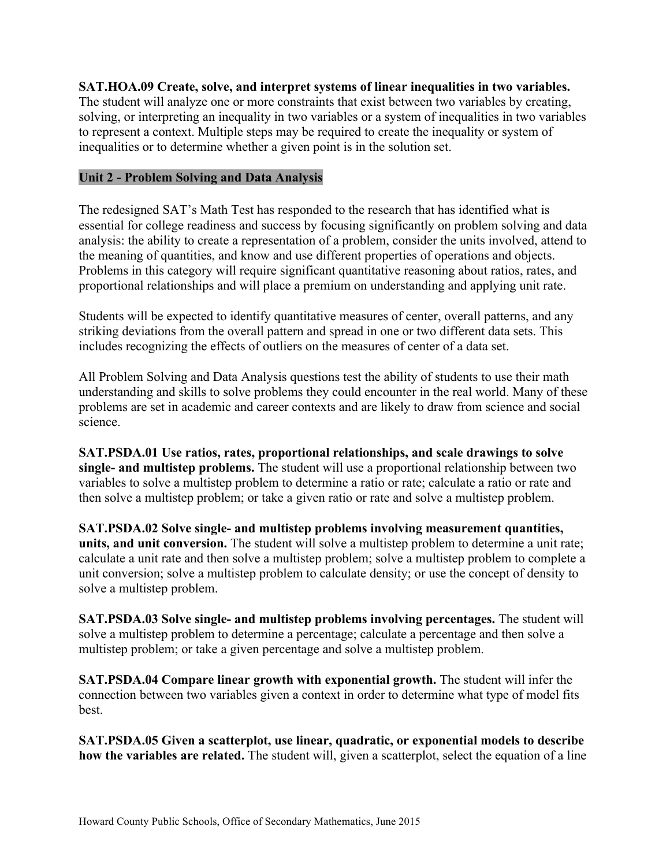### **SAT.HOA.09 Create, solve, and interpret systems of linear inequalities in two variables.**

The student will analyze one or more constraints that exist between two variables by creating, solving, or interpreting an inequality in two variables or a system of inequalities in two variables to represent a context. Multiple steps may be required to create the inequality or system of inequalities or to determine whether a given point is in the solution set.

### **Unit 2 - Problem Solving and Data Analysis**

The redesigned SAT's Math Test has responded to the research that has identified what is essential for college readiness and success by focusing significantly on problem solving and data analysis: the ability to create a representation of a problem, consider the units involved, attend to the meaning of quantities, and know and use different properties of operations and objects. Problems in this category will require significant quantitative reasoning about ratios, rates, and proportional relationships and will place a premium on understanding and applying unit rate.

Students will be expected to identify quantitative measures of center, overall patterns, and any striking deviations from the overall pattern and spread in one or two different data sets. This includes recognizing the effects of outliers on the measures of center of a data set.

All Problem Solving and Data Analysis questions test the ability of students to use their math understanding and skills to solve problems they could encounter in the real world. Many of these problems are set in academic and career contexts and are likely to draw from science and social science.

**SAT.PSDA.01 Use ratios, rates, proportional relationships, and scale drawings to solve single- and multistep problems.** The student will use a proportional relationship between two variables to solve a multistep problem to determine a ratio or rate; calculate a ratio or rate and then solve a multistep problem; or take a given ratio or rate and solve a multistep problem.

**SAT.PSDA.02 Solve single- and multistep problems involving measurement quantities, units, and unit conversion.** The student will solve a multistep problem to determine a unit rate; calculate a unit rate and then solve a multistep problem; solve a multistep problem to complete a unit conversion; solve a multistep problem to calculate density; or use the concept of density to solve a multistep problem.

**SAT.PSDA.03 Solve single- and multistep problems involving percentages.** The student will solve a multistep problem to determine a percentage; calculate a percentage and then solve a multistep problem; or take a given percentage and solve a multistep problem.

**SAT.PSDA.04 Compare linear growth with exponential growth.** The student will infer the connection between two variables given a context in order to determine what type of model fits best.

**SAT.PSDA.05 Given a scatterplot, use linear, quadratic, or exponential models to describe how the variables are related.** The student will, given a scatterplot, select the equation of a line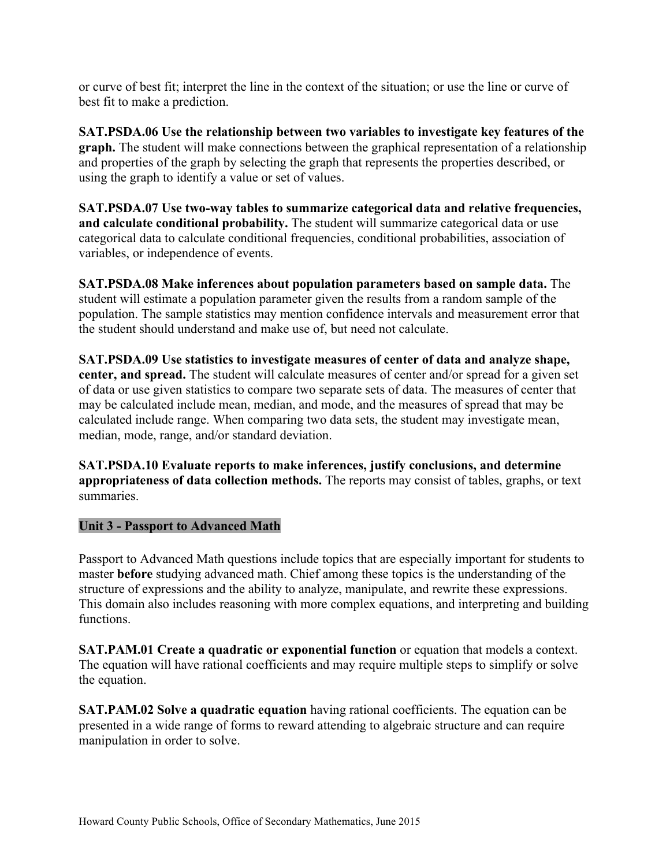or curve of best fit; interpret the line in the context of the situation; or use the line or curve of best fit to make a prediction.

**SAT.PSDA.06 Use the relationship between two variables to investigate key features of the graph.** The student will make connections between the graphical representation of a relationship and properties of the graph by selecting the graph that represents the properties described, or using the graph to identify a value or set of values.

**SAT.PSDA.07 Use two-way tables to summarize categorical data and relative frequencies, and calculate conditional probability.** The student will summarize categorical data or use categorical data to calculate conditional frequencies, conditional probabilities, association of variables, or independence of events.

**SAT.PSDA.08 Make inferences about population parameters based on sample data.** The student will estimate a population parameter given the results from a random sample of the population. The sample statistics may mention confidence intervals and measurement error that the student should understand and make use of, but need not calculate.

**SAT.PSDA.09 Use statistics to investigate measures of center of data and analyze shape, center, and spread.** The student will calculate measures of center and/or spread for a given set of data or use given statistics to compare two separate sets of data. The measures of center that may be calculated include mean, median, and mode, and the measures of spread that may be calculated include range. When comparing two data sets, the student may investigate mean, median, mode, range, and/or standard deviation.

**SAT.PSDA.10 Evaluate reports to make inferences, justify conclusions, and determine appropriateness of data collection methods.** The reports may consist of tables, graphs, or text summaries.

# **Unit 3 - Passport to Advanced Math**

Passport to Advanced Math questions include topics that are especially important for students to master **before** studying advanced math. Chief among these topics is the understanding of the structure of expressions and the ability to analyze, manipulate, and rewrite these expressions. This domain also includes reasoning with more complex equations, and interpreting and building functions.

**SAT.PAM.01 Create a quadratic or exponential function** or equation that models a context. The equation will have rational coefficients and may require multiple steps to simplify or solve the equation.

**SAT.PAM.02 Solve a quadratic equation** having rational coefficients. The equation can be presented in a wide range of forms to reward attending to algebraic structure and can require manipulation in order to solve.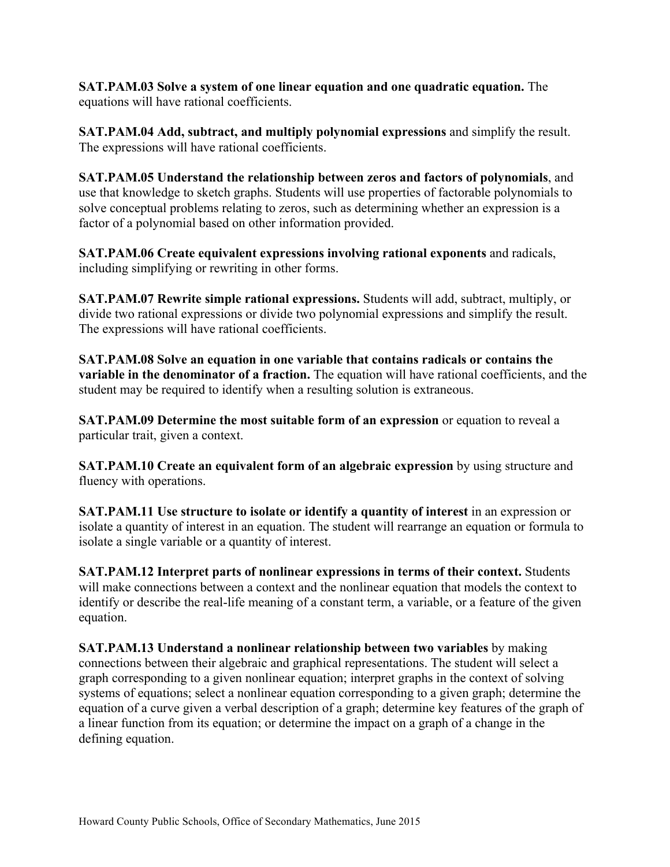**SAT.PAM.03 Solve a system of one linear equation and one quadratic equation.** The equations will have rational coefficients.

**SAT.PAM.04 Add, subtract, and multiply polynomial expressions** and simplify the result. The expressions will have rational coefficients.

**SAT.PAM.05 Understand the relationship between zeros and factors of polynomials**, and use that knowledge to sketch graphs. Students will use properties of factorable polynomials to solve conceptual problems relating to zeros, such as determining whether an expression is a factor of a polynomial based on other information provided.

**SAT.PAM.06 Create equivalent expressions involving rational exponents** and radicals, including simplifying or rewriting in other forms.

**SAT.PAM.07 Rewrite simple rational expressions.** Students will add, subtract, multiply, or divide two rational expressions or divide two polynomial expressions and simplify the result. The expressions will have rational coefficients.

**SAT.PAM.08 Solve an equation in one variable that contains radicals or contains the variable in the denominator of a fraction.** The equation will have rational coefficients, and the student may be required to identify when a resulting solution is extraneous.

**SAT.PAM.09 Determine the most suitable form of an expression** or equation to reveal a particular trait, given a context.

**SAT.PAM.10 Create an equivalent form of an algebraic expression** by using structure and fluency with operations.

**SAT.PAM.11 Use structure to isolate or identify a quantity of interest** in an expression or isolate a quantity of interest in an equation. The student will rearrange an equation or formula to isolate a single variable or a quantity of interest.

**SAT.PAM.12 Interpret parts of nonlinear expressions in terms of their context.** Students will make connections between a context and the nonlinear equation that models the context to identify or describe the real-life meaning of a constant term, a variable, or a feature of the given equation.

**SAT.PAM.13 Understand a nonlinear relationship between two variables** by making connections between their algebraic and graphical representations. The student will select a graph corresponding to a given nonlinear equation; interpret graphs in the context of solving systems of equations; select a nonlinear equation corresponding to a given graph; determine the equation of a curve given a verbal description of a graph; determine key features of the graph of a linear function from its equation; or determine the impact on a graph of a change in the defining equation.